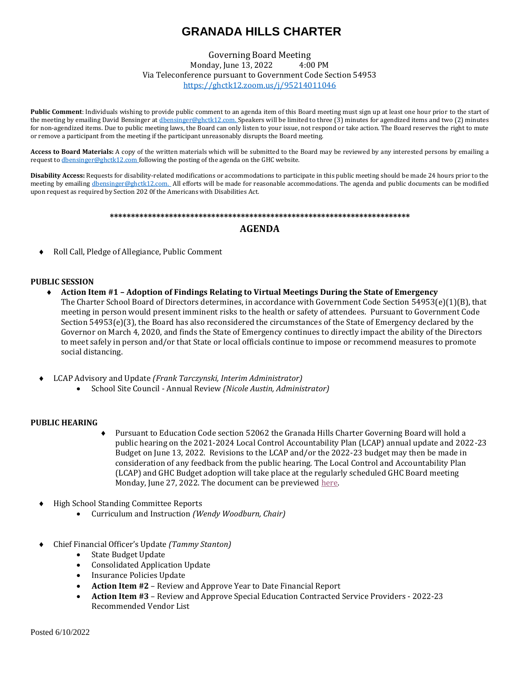# **GRANADA HILLS CHARTER**

Governing Board Meeting Monday, June 13, 2022 4:00 PM Via Teleconference pursuant to Government Code Section 54953 <https://ghctk12.zoom.us/j/95214011046>

**Public Comment**: Individuals wishing to provide public comment to an agenda item of this Board meeting must sign up at least one hour prior to the start of the meeting by emailing David Bensinger a[t dbensinger@ghctk12.com.](mailto:dbensinger@ghctk12.com) Speakers will be limited to three (3) minutes for agendized items and two (2) minutes for non-agendized items. Due to public meeting laws, the Board can only listen to your issue, not respond or take action. The Board reserves the right to mute or remove a participant from the meeting if the participant unreasonably disrupts the Board meeting.

**Access to Board Materials:** A copy of the written materials which will be submitted to the Board may be reviewed by any interested persons by emailing a request t[o dbensinger@ghctk12.com](mailto:dbensinger@ghctk12.com) following the posting of the agenda on the GHC website.

**Disability Access:** Requests for disability-related modifications or accommodations to participate in this public meeting should be made 24 hours prior to the meeting by emailin[g dbensinger@ghctk12.com.](mailto:dbensinger@ghctk12.com) All efforts will be made for reasonable accommodations. The agenda and public documents can be modified upon request as required by Section 202 0f the Americans with Disabilities Act.

#### **\*\*\*\*\*\*\*\*\*\*\*\*\*\*\*\*\*\*\*\*\*\*\*\*\*\*\*\*\*\*\*\*\*\*\*\*\*\*\*\*\*\*\*\*\*\*\*\*\*\*\*\*\*\*\*\*\*\*\*\*\*\*\*\*\*\*\*\*\*\*\***

## **AGENDA**

Roll Call, Pledge of Allegiance, Public Comment

### **PUBLIC SESSION**

- **Action Item #1 – Adoption of Findings Relating to Virtual Meetings During the State of Emergency** The Charter School Board of Directors determines, in accordance with Government Code Section 54953(e)(1)(B), that meeting in person would present imminent risks to the health or safety of attendees. Pursuant to Government Code Section 54953(e)(3), the Board has also reconsidered the circumstances of the State of Emergency declared by the Governor on March 4, 2020, and finds the State of Emergency continues to directly impact the ability of the Directors to meet safely in person and/or that State or local officials continue to impose or recommend measures to promote social distancing.
- LCAP Advisory and Update *(Frank Tarczynski, Interim Administrator)*
	- School Site Council Annual Review *(Nicole Austin, Administrator)*

#### **PUBLIC HEARING**

- Pursuant to Education Code section 52062 the Granada Hills Charter Governing Board will hold a public hearing on the 2021-2024 Local Control Accountability Plan (LCAP) annual update and 2022-23 Budget on June 13, 2022. Revisions to the LCAP and/or the 2022-23 budget may then be made in consideration of any feedback from the public hearing. The Local Control and Accountability Plan (LCAP) and GHC Budget adoption will take place at the regularly scheduled GHC Board meeting Monday, June 27, 2022. The document can be previewe[d here.](http://www.ghctk12.com/charter-governance/accountability-compliance-reports/lcap)
- High School Standing Committee Reports
	- Curriculum and Instruction *(Wendy Woodburn, Chair)*
- Chief Financial Officer's Update *(Tammy Stanton)*
	- State Budget Update
	- Consolidated Application Update
	- Insurance Policies Update
	- **Action Item #2** Review and Approve Year to Date Financial Report
	- **Action Item #3** Review and Approve Special Education Contracted Service Providers 2022-23 Recommended Vendor List